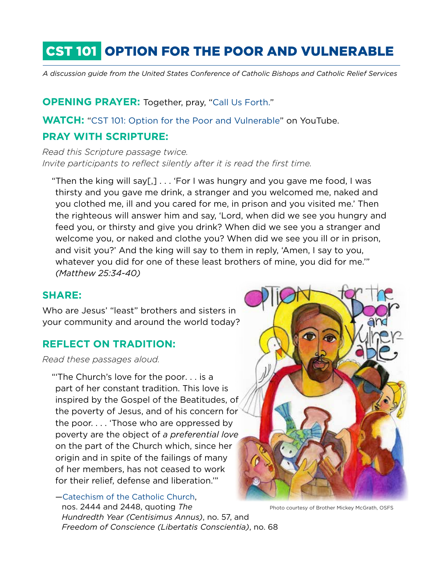# CST 101 OPTION FOR THE POOR AND VULNERABLE

*A discussion guide from the United States Conference of Catholic Bishops and Catholic Relief Services*

**OPENING PRAYER: Together, pray, "[Call Us Forth.](http://www.crs.org/resource-center/call-us-forth)"** 

**WATCH:** ["CST 101: Option for the Poor and Vulnerable](https://www.youtube.com/watch?v=c3gxBjtOzNM&list=PLt5PsPjJAk-0b9BYRHUAxnlKMIv7qyZca&index=3)" on YouTube.

## **PRAY WITH SCRIPTURE:**

*Read this Scripture passage twice. Invite participants to reflect silently after it is read the first time.* 

"Then the king will say[,] . . . 'For I was hungry and you gave me food, I was thirsty and you gave me drink, a stranger and you welcomed me, naked and you clothed me, ill and you cared for me, in prison and you visited me.' Then the righteous will answer him and say, 'Lord, when did we see you hungry and feed you, or thirsty and give you drink? When did we see you a stranger and welcome you, or naked and clothe you? When did we see you ill or in prison, and visit you?' And the king will say to them in reply, 'Amen, I say to you, whatever you did for one of these least brothers of mine, you did for me.'" *(Matthew 25:34-40)*

### **SHARE:**

Who are Jesus' "least" brothers and sisters in your community and around the world today?

## **REFLECT ON TRADITION:**

*Read these passages aloud.*

"'The Church's love for the poor. . . is a part of her constant tradition. This love is inspired by the Gospel of the Beatitudes, of the poverty of Jesus, and of his concern for the poor. . . . 'Those who are oppressed by poverty are the object of *a preferential love* on the part of the Church which, since her origin and in spite of the failings of many of her members, has not ceased to work for their relief, defense and liberation.'"

[—Catechism of the Catholic Church](http://www.vatican.va/archive/ENG0015/_INDEX.HTM), nos. 2444 and 2448, quoting *The Hundredth Year (Centisimus Annus)*, no. 57, and *Freedom of Conscience (Libertatis Conscientia)*, no. 68



Photo courtesy of Brother Mickey McGrath, OSFS